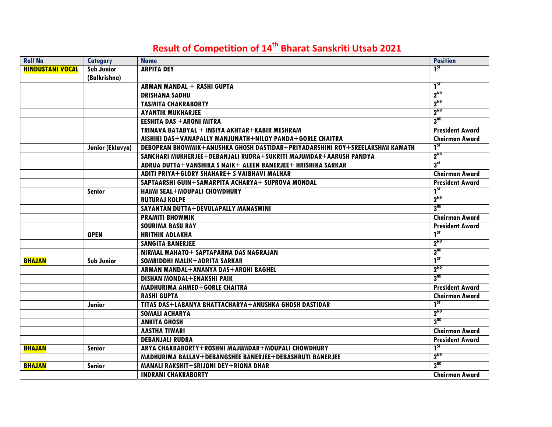## Result of Competition of 14<sup>th</sup> Bharat Sanskriti Utsab 2021

| <b>Roll No</b>          | <b>Category</b>   | <b>Name</b>                                                                  | <b>Position</b>        |
|-------------------------|-------------------|------------------------------------------------------------------------------|------------------------|
| <b>HINDUSTANI VOCAL</b> | <b>Sub Junior</b> | <b>ARPITA DEY</b>                                                            | $1^{ST}$               |
|                         | (Balkrishna)      |                                                                              |                        |
|                         |                   | <b>ARMAN MANDAL + RASHI GUPTA</b>                                            | $1^{5}$                |
|                         |                   | <b>DRISHANA SADHU</b>                                                        | $2^{ND}$               |
|                         |                   | <b>TASMITA CHAKRABORTY</b>                                                   | 2 <sup>ND</sup>        |
|                         |                   | <b>AYANTIK MUKHARJEE</b>                                                     | $2^{ND}$               |
|                         |                   | <b>EESHITA DAS + ARONI MITRA</b>                                             | 3 <sup>RD</sup>        |
|                         |                   | TRINAVA BATABYAL + INSIYA AKHTAR+KABIR MESHRAM                               | <b>President Award</b> |
|                         |                   | AISHIKI DAS+VANAPALLY MANJUNATH+NILOY PANDA+GORLE CHAITRA                    | <b>Chairman Award</b>  |
|                         | Junior (Eklavya)  | DEBOPRAN BHOWMIK+ANUSHKA GHOSH DASTIDAR+PRIYADARSHINI ROY+SREELAKSHMI KAMATH | $1^{5T}$               |
|                         |                   | SANCHARI MUKHERJEE+DEBANJALI RUDRA+SUKRITI MAJUMDAR+AARUSH PANDYA            | 2 <sup>ND</sup>        |
|                         |                   | ADRUA DUTTA+VANSHIKA S NAIK+ ALEEN BANERJEE+ HRISHIKA SARKAR                 | 3 <sup>rd</sup>        |
|                         |                   | ADITI PRIYA+GLORY SHAHARE+ S VAIBHAVI MALHAR                                 | <b>Chairman Award</b>  |
|                         |                   | SAPTAARSHI GUIN+SAMARPITA ACHARYA+ SUPROVA MONDAL                            | <b>President Award</b> |
|                         | <b>Senior</b>     | <b>HAIMI SEAL+MOUPALI CHOWDHURY</b>                                          | $1^{5T}$               |
|                         |                   | <b>RUTURAJ KOLPE</b>                                                         | $2^{ND}$               |
|                         |                   | SAYANTAN DUTTA+DEVULAPALLY MANASWINI                                         | 3 <sup>RD</sup>        |
|                         |                   | <b>PRAMITI BHOWMIK</b>                                                       | <b>Chairman Award</b>  |
|                         |                   | <b>SOURIMA BASU RAY</b>                                                      | <b>President Award</b> |
|                         | <b>OPEN</b>       | <b>HRITHIK ADLAKHA</b>                                                       | $1^{5}$                |
|                         |                   | <b>SANGITA BANERJEE</b>                                                      | $2^{ND}$               |
|                         |                   | NIRMAL MAHATO+ SAPTAPARNA DAS NAGRAJAN                                       | 3 <sup>RD</sup>        |
| <b>BHAJAN</b>           | <b>Sub Junior</b> | SOMRIDDHI MALIK+ADRITA SARKAR                                                | $1^{5}$                |
|                         |                   | ARMAN MANDAL+ANANYA DAS+AROHI BAGHEL                                         | $2^{ND}$               |
|                         |                   | DISHAN MONDAL+ENAKSHI PAIK                                                   | 3 <sup>RD</sup>        |
|                         |                   | MADHURIMA AHMED+GORLE CHAITRA                                                | <b>President Award</b> |
|                         |                   | <b>RASHI GUPTA</b>                                                           | <b>Chairman Award</b>  |
|                         | Junior            | TITAS DAS+LABANYA BHATTACHARYA+ANUSHKA GHOSH DASTIDAR                        | $1^{ST}$               |
|                         |                   | <b>SOMALI ACHARYA</b>                                                        | $2^{ND}$               |
|                         |                   | <b>ANKITA GHOSH</b>                                                          | 3 <sup>RD</sup>        |
|                         |                   | <b>AASTHA TIWARI</b>                                                         | <b>Chairman Award</b>  |
|                         |                   | <b>DEBANJALI RUDRA</b>                                                       | <b>President Award</b> |
| <b>BHAJAN</b>           | <b>Senior</b>     | ARYA CHAKRABORTY+ROSHNI MAJUMDAR+MOUPALI CHOWDHURY                           | $1^{5T}$               |
|                         |                   | MADHURIMA BALLAV+DEBANGSHEE BANERJEE+DEBASHRUTI BANERJEE                     | $2^{ND}$               |
| <b>BHAJAN</b>           | <b>Senior</b>     | MANALI RAKSHIT+SRIJONI DEY+RIONA DHAR                                        | 3 <sup>RD</sup>        |
|                         |                   | <b>INDRANI CHAKRABORTY</b>                                                   | <b>Chairman Award</b>  |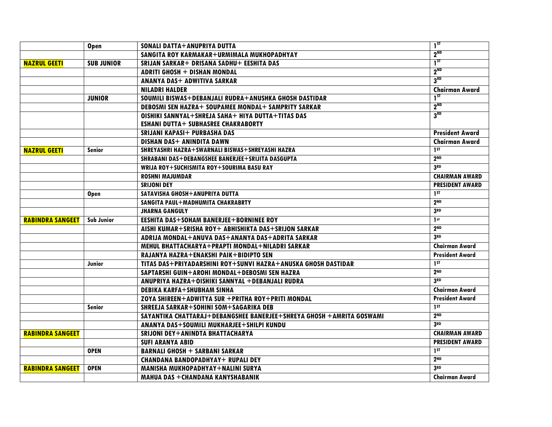|                         | <b>Open</b>       | SONALI DATTA+ANUPRIYA DUTTA                                          | $1^{5T}$               |
|-------------------------|-------------------|----------------------------------------------------------------------|------------------------|
|                         |                   | SANGITA ROY KARMAKAR+URMIMALA MUKHOPADHYAY                           | $2^{ND}$               |
| <b>NAZRUL GEETI</b>     | <b>SUB JUNIOR</b> | SRIJAN SARKAR+ DRISANA SADHU+ EESHITA DAS                            | $1^{ST}$               |
|                         |                   | <b>ADRITI GHOSH + DISHAN MONDAL</b>                                  | $2^{ND}$               |
|                         |                   | <b>ANANYA DAS+ ADWITIVA SARKAR</b>                                   | 3 <sup>RD</sup>        |
|                         |                   | <b>NILADRI HALDER</b>                                                | <b>Chairman Award</b>  |
|                         | <b>JUNIOR</b>     | SOUMILI BISWAS+DEBANJALI RUDRA+ANUSHKA GHOSH DASTIDAR                | $1^{5T}$               |
|                         |                   | DEBOSMI SEN HAZRA+ SOUPAMEE MONDAL+ SAMPRITY SARKAR                  | 2 <sup>ND</sup>        |
|                         |                   | OISHIKI SANNYAL+SHREJA SAHA+ HIYA DUTTA+TITAS DAS                    | 3 <sup>RD</sup>        |
|                         |                   | <b>ESHANI DUTTA+ SUBHASREE CHAKRABORTY</b>                           |                        |
|                         |                   | <b>SRIJANI KAPASI+ PURBASHA DAS</b>                                  | <b>President Award</b> |
|                         |                   | DISHAN DAS+ ANINDITA DAWN                                            | <b>Chairman Award</b>  |
| <b>NAZRUL GEETI</b>     | <b>Senior</b>     | SHREYASHRI HAZRA+SWARNALI BISWAS+SHREYASHI HAZRA                     | 1 <sup>ST</sup>        |
|                         |                   | SHRABANI DAS+DEBANGSHEE BANERJEE+SRIJITA DASGUPTA                    | 2 <sub>ND</sub>        |
|                         |                   | WRIJA ROY+SUCHISMITA ROY+SOURIMA BASU RAY                            | 3RD                    |
|                         |                   | <b>ROSHNI MAJUMDAR</b>                                               | <b>CHAIRMAN AWARD</b>  |
|                         |                   | <b>SRIJONI DEY</b>                                                   | <b>PRESIDENT AWARD</b> |
|                         | <b>Open</b>       | SATAVISHA GHOSH+ANUPRIYA DUTTA                                       | 1 <sub>ST</sub>        |
|                         |                   | SANGITA PAUL+MADHUMITA CHAKRABRTY                                    | 2 <sub>ND</sub>        |
|                         |                   | <b>JHARNA GANGULY</b>                                                | 3RD                    |
| <b>RABINDRA SANGEET</b> | <b>Sub Junior</b> | <b>EESHITA DAS+SOHAM BANERJEE+BORNINEE ROY</b>                       | 1 <sub>st</sub>        |
|                         |                   | AISHI KUMAR+SRISHA ROY+ ABHISHIKTA DAS+SRIJON SARKAR                 | 2 <sub>ND</sub>        |
|                         |                   | ADRIJA MONDAL+ANUVA DAS+ANANYA DAS+ADRITA SARKAR                     | 3RD                    |
|                         |                   | MEHUL BHATTACHARYA+PRAPTI MONDAL+NILADRI SARKAR                      | <b>Chairman Award</b>  |
|                         |                   | RAJANYA HAZRA+ENAKSHI PAIK+BIDIPTO SEN                               | <b>President Award</b> |
|                         | Junior            | TITAS DAS+PRIYADARSHINI ROY+SUNVI HAZRA+ANUSKA GHOSH DASTIDAR        | 1 <sub>ST</sub>        |
|                         |                   | SAPTARSHI GUIN+AROHI MONDAL+DEBOSMI SEN HAZRA                        | 2 <sub>ND</sub>        |
|                         |                   | ANUPRIYA HAZRA+OISHIKI SANNYAL +DEBANJALI RUDRA                      | 3 <sub>RD</sub>        |
|                         |                   | <b>DEBIKA KARFA+SHUBHAM SINHA</b>                                    | <b>Chairman Award</b>  |
|                         |                   | ZOYA SHIREEN+ADWITYA SUR +PRITHA ROY+PRITI MONDAL                    | <b>President Award</b> |
|                         | <b>Senior</b>     | SHREEJA SARKAR+SOHINI SOM+SAGARIKA DEB                               | 1 <sup>ST</sup>        |
|                         |                   | SAYANTIKA CHATTARAJ+DEBANGSHEE BANERJEE+SHREYA GHOSH +AMRITA GOSWAMI | 2 <sub>ND</sub>        |
|                         |                   | ANANYA DAS+SOUMILI MUKHARJEE+SHILPI KUNDU                            | 3RD                    |
| <b>RABINDRA SANGEET</b> |                   | SRIJONI DEY+ANINDTA BHATTACHARYA                                     | <b>CHAIRMAN AWARD</b>  |
|                         |                   | <b>SUFI ARANYA ABID</b>                                              | <b>PRESIDENT AWARD</b> |
|                         | <b>OPEN</b>       | <b>BARNALI GHOSH + SARBANI SARKAR</b>                                | 1 <sub>ST</sub>        |
|                         |                   | <b>CHANDANA BANDOPADHYAY+ RUPALI DEY</b>                             | 2 <sub>ND</sub>        |
| <b>RABINDRA SANGEET</b> | <b>OPEN</b>       | MANISHA MUKHOPADHYAY+NALINI SURYA                                    | 3 <sub>RD</sub>        |
|                         |                   | MAHUA DAS + CHANDANA KANYSHABANIK                                    | <b>Chairman Award</b>  |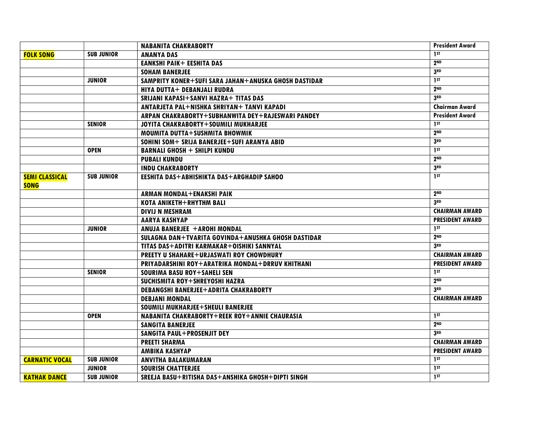|                       |                   | <b>NABANITA CHAKRABORTY</b>                          | <b>President Award</b> |
|-----------------------|-------------------|------------------------------------------------------|------------------------|
| <b>FOLK SONG</b>      | <b>SUB JUNIOR</b> | <b>ANANYA DAS</b>                                    | 1ST                    |
|                       |                   | <b>EANKSHI PAIK+ EESHITA DAS</b>                     | 2 <sub>ND</sub>        |
|                       |                   | <b>SOHAM BANERJEE</b>                                | 3RD                    |
|                       | <b>JUNIOR</b>     | SAMPRITY KONER+SUFI SARA JAHAN+ANUSKA GHOSH DASTIDAR | 1 <sup>ST</sup>        |
|                       |                   | <b>HIYA DUTTA+ DEBANJALI RUDRA</b>                   | 2 <sub>ND</sub>        |
|                       |                   | SRIJANI KAPASI+SANVI HAZRA+ TITAS DAS                | 3RD                    |
|                       |                   | ANTARJETA PAL+NISHKA SHRIYAN+ TANVI KAPADI           | <b>Chairman Award</b>  |
|                       |                   | ARPAN CHAKRABORTY+SUBHANWITA DEY+RAJESWARI PANDEY    | <b>President Award</b> |
|                       | <b>SENIOR</b>     | JOYITA CHAKRABORTY+SOUMILI MUKHARJEE                 | 1 <sup>ST</sup>        |
|                       |                   | MOUMITA DUTTA+SUSHMITA BHOWMIK                       | 2 <sub>ND</sub>        |
|                       |                   | SOHINI SOM+ SRIJA BANERJEE+SUFI ARANYA ABID          | 3RD                    |
|                       | <b>OPEN</b>       | <b>BARNALI GHOSH + SHILPI KUNDU</b>                  | 1ST                    |
|                       |                   | <b>PUBALI KUNDU</b>                                  | 2 <sub>ND</sub>        |
|                       |                   | <b>INDU CHAKRABORTY</b>                              | 3 <sub>RD</sub>        |
| <b>SEMI CLASSICAL</b> | <b>SUB JUNIOR</b> | EESHITA DAS+ABHISHIKTA DAS+ARGHADIP SAHOO            | 1 <sub>ST</sub>        |
| <b>SONG</b>           |                   |                                                      |                        |
|                       |                   | ARMAN MONDAL+ENAKSHI PAIK                            | 2 <sub>ND</sub>        |
|                       |                   | <b>KOTA ANIKETH+RHYTHM BALI</b>                      | 3RD                    |
|                       |                   | <b>DIVIJ N MESHRAM</b>                               | <b>CHAIRMAN AWARD</b>  |
|                       |                   | <b>AARYA KASHYAP</b>                                 | <b>PRESIDENT AWARD</b> |
|                       | <b>JUNIOR</b>     | ANUJA BANERJEE +AROHI MONDAL                         | 1 <sub>ST</sub>        |
|                       |                   | SULAGNA DAN+TVARITA GOVINDA+ANUSHKA GHOSH DASTIDAR   | 2 <sub>ND</sub>        |
|                       |                   | TITAS DAS+ADITRI KARMAKAR+OISHIKI SANNYAL            | 3RD                    |
|                       |                   | <b>PREETY U SHAHARE+URJASWATI ROY CHOWDHURY</b>      | <b>CHAIRMAN AWARD</b>  |
|                       |                   | PRIYADARSHINI ROY+ARATRIKA MONDAL+DRRUV KHITHANI     | <b>PRESIDENT AWARD</b> |
|                       | <b>SENIOR</b>     | SOURIMA BASU ROY+SAHELI SEN                          | 1 ST                   |
|                       |                   | SUCHISMITA ROY+SHREYOSHI HAZRA                       | 2 <sub>ND</sub>        |
|                       |                   | <b>DEBANGSHI BANERJEE+ADRITA CHAKRABORTY</b>         | 3 <sub>RD</sub>        |
|                       |                   | <b>DEBJANI MONDAL</b>                                | <b>CHAIRMAN AWARD</b>  |
|                       |                   | SOUMILI MUKHARJEE+SHEULI BANERJEE                    |                        |
|                       | <b>OPEN</b>       | NABANITA CHAKRABORTY+REEK ROY+ANNIE CHAURASIA        | 1 <sub>ST</sub>        |
|                       |                   | <b>SANGITA BANERJEE</b>                              | 2 <sub>ND</sub>        |
|                       |                   | <b>SANGITA PAUL+PROSENJIT DEY</b>                    | 3 <sub>RD</sub>        |
|                       |                   | <b>PREETI SHARMA</b>                                 | <b>CHAIRMAN AWARD</b>  |
|                       |                   | <b>AMBIKA KASHYAP</b>                                | <b>PRESIDENT AWARD</b> |
| <b>CARNATIC VOCAL</b> | <b>SUB JUNIOR</b> | <b>ANVITHA BALAKUMARAN</b>                           | 1ST                    |
|                       | <b>JUNIOR</b>     | <b>SOURISH CHATTERJEE</b>                            | 1 <sub>ST</sub>        |
| <b>KATHAK DANCE</b>   | <b>SUB JUNIOR</b> | SREEJA BASU+RITISHA DAS+ANSHIKA GHOSH+DIPTI SINGH    | 1 <sub>2</sub>         |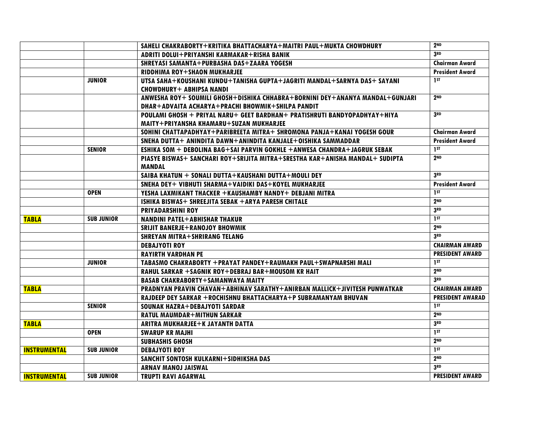|                     |                   | SAHELI CHAKRABORTY+KRITIKA BHATTACHARYA+MAITRI PAUL+MUKTA CHOWDHURY          | 2 <sub>ND</sub>         |
|---------------------|-------------------|------------------------------------------------------------------------------|-------------------------|
|                     |                   | ADRITI DOLUI+PRIYANSHI KARMAKAR+RISHA BANIK                                  | 3 <sub>RD</sub>         |
|                     |                   | SHREYASI SAMANTA+PURBASHA DAS+ZAARA YOGESH                                   | <b>Chairman Award</b>   |
|                     |                   | RIDDHIMA ROY+SHAON MUKHARJEE                                                 | <b>President Award</b>  |
|                     | <b>JUNIOR</b>     | UTSA SAHA+KOUSHANI KUNDU+TANISHA GUPTA+JAGRITI MANDAL+SARNYA DAS+ SAYANI     | 1 <sup>ST</sup>         |
|                     |                   | <b>CHOWDHURY+ ABHIPSA NANDI</b>                                              |                         |
|                     |                   | ANWESHA ROY+ SOUMILI GHOSH+DISHIKA CHHABRA+BORNINI DEY+ANANYA MANDAL+GUNJARI | 2 <sub>ND</sub>         |
|                     |                   | DHAR+ADVAITA ACHARYA+PRACHI BHOWMIK+SHILPA PANDIT                            |                         |
|                     |                   | POULAMI GHOSH + PRIYAL NARU+ GEET BARDHAN+ PRATISHRUTI BANDYOPADHYAY+HIYA    | 3RD                     |
|                     |                   | MAITY+PRIYANSHA KHAMARU+SUZAN MUKHARJEE                                      |                         |
|                     |                   | SOHINI CHATTAPADHYAY+PARIBREETA MITRA+ SHROMONA PANJA+KANAI YOGESH GOUR      | <b>Chairman Award</b>   |
|                     |                   | SNEHA DUTTA+ ANINDITA DAWN+ANINDITA KANJALE+0ISHIKA SAMMADDAR                | <b>President Award</b>  |
|                     | <b>SENIOR</b>     | ESHIKA SOM + DEBOLINA BAG+SAI PARVIN GOKHLE +ANWESA CHANDRA+JAGRUK SEBAK     | $\overline{\mathbf{a}}$ |
|                     |                   | PIASYE BISWAS+ SANCHARI ROY+SRIJITA MITRA+SRESTHA KAR+ANISHA MANDAL+ SUDIPTA | 2 <sub>ND</sub>         |
|                     |                   | <b>MANDAL</b>                                                                |                         |
|                     |                   | SAIBA KHATUN + SONALI DUTTA+KAUSHANI DUTTA+MOULI DEY                         | 3RD                     |
|                     |                   | SNEHA DEY+ VIBHUTI SHARMA+VAIDIKI DAS+KOYEL MUKHARJEE                        | <b>President Award</b>  |
|                     | <b>OPEN</b>       | YESHA LAXMIKANT THACKER +KAUSHAMBY NANDY+ DEBJANI MITRA                      | 1ST                     |
|                     |                   | ISHIKA BISWAS+ SHREEJITA SEBAK +ARYA PARESH CHITALE                          | 2 <sub>ND</sub>         |
|                     |                   | <b>PRIYADARSHINI ROY</b>                                                     | 3 <sup>RD</sup>         |
| <b>TABLA</b>        | <b>SUB JUNIOR</b> | <b>NANDINI PATEL+ABHISHAR THAKUR</b>                                         | 1 <sub>ST</sub>         |
|                     |                   | <b>SRIJIT BANERJE+RANOJOY BHOWMIK</b>                                        | 2 <sub>ND</sub>         |
|                     |                   | <b>SHREYAN MITRA+SHRIRANG TELANG</b>                                         | 3RD                     |
|                     |                   | <b>DEBAJYOTI ROY</b>                                                         | <b>CHAIRMAN AWARD</b>   |
|                     |                   | <b>RAYIRTH VARDHAN PE</b>                                                    | <b>PRESIDENT AWARD</b>  |
|                     | <b>JUNIOR</b>     | TABASMO CHAKRABORTY + PRAYAT PANDEY + RAUMAKH PAUL + SWAPNARSHI MALI         | 1 <sub>ST</sub>         |
|                     |                   | RAHUL SARKAR + SAGNIK ROY+DEBRAJ BAR+MOUSOM KR HAIT                          | 2 <sub>ND</sub>         |
|                     |                   | <b>BASAB CHAKRABORTY+SAMANWAYA MAITY</b>                                     | 3RD                     |
| <b>TABLA</b>        |                   | PRADNYAN PRAVIN CHAVAN+ABHINAV SARATHY+ANIRBAN MALLICK+JIVITESH PUNWATKAR    | <b>CHAIRMAN AWARD</b>   |
|                     |                   | RAJDEEP DEY SARKAR + ROCHISHNU BHATTACHARYA+P SUBRAMANYAM BHUVAN             | <b>PRESIDENT AWARAD</b> |
|                     | <b>SENIOR</b>     | <b>SOUNAK HAZRA+DEBAJYOTI SARDAR</b>                                         | 1 <sup>st</sup>         |
|                     |                   | <b>RATUL MAUMDAR+MITHUN SARKAR</b>                                           | 2 <sub>ND</sub>         |
| <b>TABLA</b>        |                   | ARITRA MUKHARJEE+K JAYANTH DATTA                                             | 3 <sub>RD</sub>         |
|                     | <b>OPEN</b>       | <b>SWARUP KR MAJHI</b>                                                       | 1 <sub>ST</sub>         |
|                     |                   | <b>SUBHASHIS GHOSH</b>                                                       | 2 <sup>ND</sup>         |
| <b>INSTRUMENTAL</b> | <b>SUB JUNIOR</b> | <b>DEBAJYOTI ROY</b>                                                         | $1^{5}$                 |
|                     |                   | SANCHIT SONTOSH KULKARNI+SIDHIKSHA DAS                                       | 2 <sub>ND</sub>         |
|                     |                   | <b>ARNAV MANOJ JAISWAL</b>                                                   | 3 <sup>RD</sup>         |
| <b>INSTRUMENTAL</b> | <b>SUB JUNIOR</b> | <b>TRUPTI RAVI AGARWAL</b>                                                   | <b>PRESIDENT AWARD</b>  |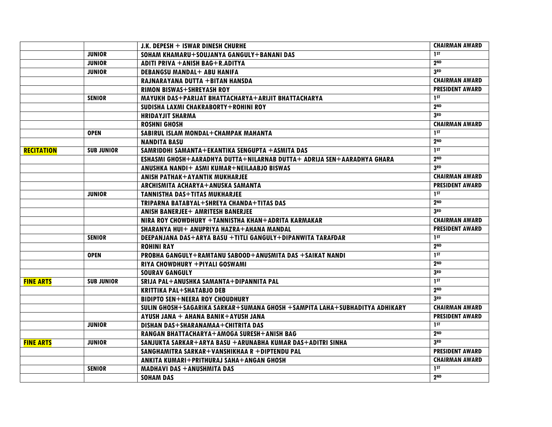|                   |                   | J.K. DEPESH + ISWAR DINESH CHURHE                                          | <b>CHAIRMAN AWARD</b>  |
|-------------------|-------------------|----------------------------------------------------------------------------|------------------------|
|                   | <b>JUNIOR</b>     | SOHAM KHAMARU+SOUJANYA GANGULY+BANANI DAS                                  | 1 <sub>st</sub>        |
|                   | <b>JUNIOR</b>     | ADITI PRIVA + ANISH BAG+R.ADITYA                                           | 2 <sub>ND</sub>        |
|                   | <b>JUNIOR</b>     | <b>DEBANGSU MANDAL+ ABU HANIFA</b>                                         | 3RD                    |
|                   |                   | RAJNARAYANA DUTTA +BITAN HANSDA                                            | <b>CHAIRMAN AWARD</b>  |
|                   |                   | <b>RIMON BISWAS+SHREYASH ROY</b>                                           | <b>PRESIDENT AWARD</b> |
|                   | <b>SENIOR</b>     | MAYUKH DAS+PARIJAT BHATTACHARYA+ARIJIT BHATTACHARYA                        | 1ST                    |
|                   |                   | SUDISHA LAXMI CHAKRABORTY+ROHINI ROY                                       | 2 <sub>ND</sub>        |
|                   |                   | <b>HRIDAYJIT SHARMA</b>                                                    | 3 <sub>RD</sub>        |
|                   |                   | <b>ROSHNI GHOSH</b>                                                        | <b>CHAIRMAN AWARD</b>  |
|                   | <b>OPEN</b>       | SABIRUL ISLAM MONDAL+CHAMPAK MAHANTA                                       | 1ST                    |
|                   |                   | <b>NANDITA BASU</b>                                                        | 2 <sub>ND</sub>        |
| <b>RECITATION</b> | <b>SUB JUNIOR</b> | SAMRIDDHI SAMANTA+EKANTIKA SENGUPTA +ASMITA DAS                            | 15T                    |
|                   |                   | ESHASMI GHOSH+AARADHYA DUTTA+NILARNAB DUTTA+ ADRIJA SEN+AARADHYA GHARA     | 2 <sub>ND</sub>        |
|                   |                   | ANUSHKA NANDI+ ASMI KUMAR+NEILAABJO BISWAS                                 | 3 <sub>RD</sub>        |
|                   |                   | <b>ANISH PATHAK+AYANTIK MUKHARJEE</b>                                      | <b>CHAIRMAN AWARD</b>  |
|                   |                   | ARCHISMITA ACHARYA+ANUSKA SAMANTA                                          | <b>PRESIDENT AWARD</b> |
|                   | <b>JUNIOR</b>     | <b>TANNISTHA DAS+TITAS MUKHARJEE</b>                                       | 1 <sub>st</sub>        |
|                   |                   | TRIPARNA BATABYAL+SHREYA CHANDA+TITAS DAS                                  | 2 <sub>ND</sub>        |
|                   |                   | <b>ANISH BANERJEE+ AMRITESH BANERJEE</b>                                   | 3 <sub>RD</sub>        |
|                   |                   | NIRA ROY CHOWDHURY + TANNISTHA KHAN+ADRITA KARMAKAR                        | <b>CHAIRMAN AWARD</b>  |
|                   |                   | SHARANYA HUI+ ANUPRIYA HAZRA+AHANA MANDAL                                  | <b>PRESIDENT AWARD</b> |
|                   | <b>SENIOR</b>     | DEEPANJANA DAS+ARYA BASU +TITLI GANGULY+DIPANWITA TARAFDAR                 | 1 <sup>ST</sup>        |
|                   |                   | <b>ROHINI RAY</b>                                                          | 2 <sub>ND</sub>        |
|                   | <b>OPEN</b>       | PROBHA GANGULY+RAMTANU SABOOD+ANUSMITA DAS +SAIKAT NANDI                   | 15T                    |
|                   |                   | RIYA CHOWDHURY + PIYALI GOSWAMI                                            | 2 <sub>ND</sub>        |
|                   |                   | <b>SOURAV GANGULY</b>                                                      | 3 <sub>RD</sub>        |
| <b>FINE ARTS</b>  | <b>SUB JUNIOR</b> | SRIJA PAL+ANUSHKA SAMANTA+DIPANNITA PAL                                    | 1 <sub>ST</sub>        |
|                   |                   | <b>KRITTIKA PAL+SHATABJO DEB</b>                                           | 2 <sub>ND</sub>        |
|                   |                   | <b>BIDIPTO SEN+NEERA ROY CHOUDHURY</b>                                     | 3RD                    |
|                   |                   | SULIN GHOSH+SAGARIKA SARKAR+SUMANA GHOSH +SAMPITA LAHA+SUBHADITYA ADHIKARY | <b>CHAIRMAN AWARD</b>  |
|                   |                   | AYUSH JANA + AHANA BANIK+AYUSH JANA                                        | <b>PRESIDENT AWARD</b> |
|                   | <b>JUNIOR</b>     | DISHAN DAS+SHARANAMAA+CHITRITA DAS                                         | 1 <sub>st</sub>        |
|                   |                   | RANGAN BHATTACHARYA+AMOGA SURESH+ANISH BAG                                 | 2 <sub>ND</sub>        |
| <b>FINE ARTS</b>  | <b>JUNIOR</b>     | SANJUKTA SARKAR+ARYA BASU +ARUNABHA KUMAR DAS+ADITRI SINHA                 | 3RD                    |
|                   |                   | SANGHAMITRA SARKAR+VANSHIKHAA R +DIPTENDU PAL                              | <b>PRESIDENT AWARD</b> |
|                   |                   | ANKITA KUMARI+PRITHURAJ SAHA+ANGAN GHOSH                                   | <b>CHAIRMAN AWARD</b>  |
|                   | <b>SENIOR</b>     | <b>MADHAVI DAS + ANUSHMITA DAS</b>                                         | 1 <sub>ST</sub>        |
|                   |                   | <b>SOHAM DAS</b>                                                           | 2 <sub>ND</sub>        |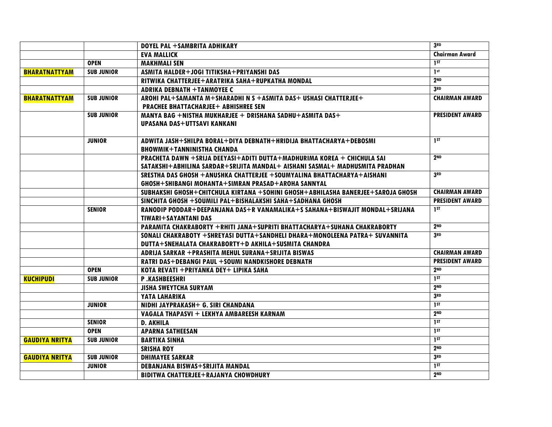|                       |                   | DOYEL PAL +SAMBRITA ADHIKARY                                                    | 3RD                    |
|-----------------------|-------------------|---------------------------------------------------------------------------------|------------------------|
|                       |                   | <b>EVA MALLICK</b>                                                              | <b>Chairman Award</b>  |
|                       | <b>OPEN</b>       | <b>MAKHMALI SEN</b>                                                             | 1 <sub>ST</sub>        |
| <b>BHARATNATTYAM</b>  | <b>SUB JUNIOR</b> | ASMITA HALDER+JOGI TITIKSHA+PRIYANSHI DAS                                       | 1 <sub>st</sub>        |
|                       |                   | RITWIKA CHATTERJEE+ARATRIKA SAHA+RUPKATHA MONDAL                                | 2 <sub>ND</sub>        |
|                       |                   | <b>ADRIKA DEBNATH +TANMOYEE C</b>                                               | 3RD                    |
| <b>BHARATNATTYAM</b>  | <b>SUB JUNIOR</b> | AROHI PAL+SAMANTA M+SHARADHI N S +ASMITA DAS+ USHASI CHATTERJEE+                | <b>CHAIRMAN AWARD</b>  |
|                       |                   | <b>PRACHEE BHATTACHARJEE+ ABHISHREE SEN</b>                                     |                        |
|                       | <b>SUB JUNIOR</b> | MANYA BAG +NISTHA MUKHARJEE + DRISHANA SADHU+ASMITA DAS+                        | <b>PRESIDENT AWARD</b> |
|                       |                   | UPASANA DAS+UTTSAVI KANKANI                                                     |                        |
|                       |                   |                                                                                 |                        |
|                       | <b>JUNIOR</b>     | ADWITA JASH+SHILPA BORAL+DIYA DEBNATH+HRIDIJA BHATTACHARYA+DEBOSMI              | 1 <sup>ST</sup>        |
|                       |                   | <b>BHOWMIK+TANNINISTHA CHANDA</b>                                               |                        |
|                       |                   | PRACHETA DAWN +SRIJA DEEYASI+ADITI DUTTA+MADHURIMA KOREA + CHICHULA SAI         | 2 <sub>ND</sub>        |
|                       |                   | SATAKSHI+ABHILINA SARDAR+SRIJITA MANDAL+ AISHANI SASMAL+ MADHUSMITA PRADHAN     |                        |
|                       |                   | SRESTHA DAS GHOSH + ANUSHKA CHATTERJEE + SOUMYALINA BHATTACHARYA + AISHANI      | 3 <sub>RD</sub>        |
|                       |                   | GHOSH+SHIBANGI MOHANTA+SIMRAN PRASAD+AROHA SANNYAL                              |                        |
|                       |                   | SUBHAKSHI GHOSH+CHITCHULA KIRTANA +SOHINI GHOSH+ABHILASHA BANERJEE+SAROJA GHOSH | <b>CHAIRMAN AWARD</b>  |
|                       |                   | SINCHITA GHOSH +SOUMILI PAL+BISHALAKSHI SAHA+SADHANA GHOSH                      | <b>PRESIDENT AWARD</b> |
|                       | <b>SENIOR</b>     | RANODIP PODDAR+DEEPANJANA DAS+R VANAMALIKA+S SAHANA+BISWAJIT MONDAL+SRIJANA     | 1ST                    |
|                       |                   | TIWARI+SAYANTANI DAS                                                            |                        |
|                       |                   | PARAMITA CHAKRABORTY +RHITI JANA+SUPRITI BHATTACHARYA+SUHANA CHAKRABORTY        | 2 <sub>ND</sub>        |
|                       |                   | SONALI CHAKRABOTY +SHREYASI DUTTA+SANDHELI DHARA+MONOLEENA PATRA+ SUVANNITA     | 3RD                    |
|                       |                   | DUTTA+SNEHALATA CHAKRABORTY+D AKHILA+SUSMITA CHANDRA                            |                        |
|                       |                   | ADRIJA SARKAR + PRASHITA MEHUL SURANA+SRIJITA BISWAS                            | <b>CHAIRMAN AWARD</b>  |
|                       |                   | RATRI DAS+DEBANGI PAUL +SOUMI NANDKISHORE DEBNATH                               | <b>PRESIDENT AWARD</b> |
|                       | <b>OPEN</b>       | KOTA REVATI + PRIYANKA DEY+ LIPIKA SAHA                                         | 2 <sub>ND</sub>        |
| <b>KUCHIPUDI</b>      | <b>SUB JUNIOR</b> | P.KASHBEESHRI                                                                   | $1^{5}$                |
|                       |                   | <b>JISHA SWEYTCHA SURYAM</b>                                                    | 2 <sub>ND</sub>        |
|                       |                   | YATA LAHARIKA                                                                   | 3 <sub>RD</sub>        |
|                       | <b>JUNIOR</b>     | NIDHI JAYPRAKASH+ G. SIRI CHANDANA                                              | 1 <sub>st</sub>        |
|                       |                   | VAGALA THAPASVI + LEKHYA AMBAREESH KARNAM                                       | 2 <sub>ND</sub>        |
|                       | <b>SENIOR</b>     | <b>D. AKHILA</b>                                                                | 1 <sup>ST</sup>        |
|                       | <b>OPEN</b>       | <b>APARNA SATHEESAN</b>                                                         | 1ST                    |
| <b>GAUDIYA NRITYA</b> | <b>SUB JUNIOR</b> | <b>BARTIKA SINHA</b>                                                            | 1 <sub>ST</sub>        |
|                       |                   | <b>SRISHA ROY</b>                                                               | 2 <sub>ND</sub>        |
| <b>GAUDIYA NRITYA</b> | <b>SUB JUNIOR</b> | <b>DHIMAYEE SARKAR</b>                                                          | 3 <sub>RD</sub>        |
|                       | <b>JUNIOR</b>     | <b>DEBANJANA BISWAS+SRIJITA MANDAL</b>                                          | 1 <sup>ST</sup>        |
|                       |                   | <b>BIDITWA CHATTERJEE+RAJANYA CHOWDHURY</b>                                     | 2 <sub>ND</sub>        |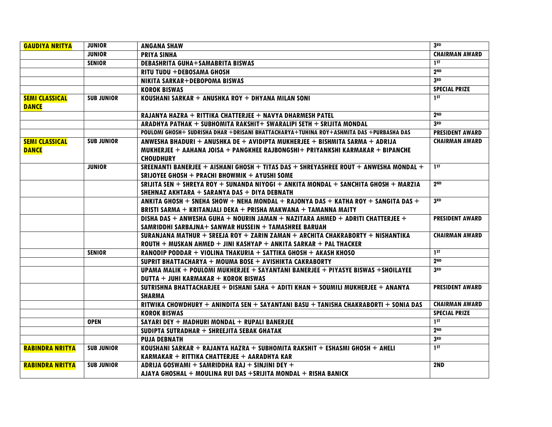| <b>GAUDIYA NRITYA</b>                 | <b>JUNIOR</b>     | <b>ANGANA SHAW</b>                                                                                                                                                                | 3RD                    |
|---------------------------------------|-------------------|-----------------------------------------------------------------------------------------------------------------------------------------------------------------------------------|------------------------|
|                                       | <b>JUNIOR</b>     | <b>PRIYA SINHA</b>                                                                                                                                                                | <b>CHAIRMAN AWARD</b>  |
|                                       | <b>SENIOR</b>     | <b>DEBASHRITA GUHA+SAMABRITA BISWAS</b>                                                                                                                                           | 1 ST                   |
|                                       |                   | RITU TUDU +DEBOSAMA GHOSH                                                                                                                                                         | 2 <sub>ND</sub>        |
|                                       |                   | <b>NIKITA SARKAR+DEBOPOMA BISWAS</b>                                                                                                                                              | 3 <sub>RD</sub>        |
|                                       |                   | <b>KOROK BISWAS</b>                                                                                                                                                               | <b>SPECIAL PRIZE</b>   |
| <b>SEMI CLASSICAL</b><br><b>DANCE</b> | <b>SUB JUNIOR</b> | KOUSHANI SARKAR + ANUSHKA ROY + DHYANA MILAN SONI                                                                                                                                 | 1ST                    |
|                                       |                   | RAJANYA HAZRA + RITTIKA CHATTERJEE + NAVYA DHARMESH PATEL                                                                                                                         | 2 <sub>ND</sub>        |
|                                       |                   | ARADHYA PATHAK + SUBHOMITA RAKSHIT+ SWARALIPI SETH + SRIJITA MONDAL                                                                                                               | 3 <sub>RD</sub>        |
|                                       |                   | POULOMI GHOSH+ SUDRISHA DHAR +DRISANI BHATTACHARYA+TUHINA ROY+ASHMITA DAS +PURBASHA DAS                                                                                           | <b>PRESIDENT AWARD</b> |
| <b>SEMI CLASSICAL</b><br><b>DANCE</b> | <b>SUB JUNIOR</b> | ANWESHA BHADURI + ANUSHKA DE + AVIDIPTA MUKHERJEE + BISHMITA SARMA + ADRIJA<br>MUKHERJEE + AAHANA JOISA + PANGKHEE RAJBONGSHI+ PRIYANKSHI KARMAKAR + BIPANCHE<br><b>CHOUDHURY</b> | <b>CHAIRMAN AWARD</b>  |
|                                       | <b>JUNIOR</b>     | SREENANTI BANERJEE + AISHANI GHOSH + TITAS DAS + SHREYASHREE ROUT + ANWESHA MONDAL +<br>SRIJOYEE GHOSH + PRACHI BHOWMIK + AYUSHI SOME                                             | 1 <sub>ST</sub>        |
|                                       |                   | SRIJITA SEN + SHREYA ROY + SUNANDA NIYOGI + ANKITA MONDAL + SANCHITA GHOSH + MARZIA<br>SHEHNAZ AKHTARA + SARANYA DAS + DIYA DEBNATH                                               | 2 <sub>ND</sub>        |
|                                       |                   | ANKITA GHOSH + SNEHA SHOW + NEHA MONDAL + RAJONYA DAS + KATHA ROY + SANGITA DAS +<br>BRISTI SARMA + KRITANJALI DEKA + PRISHA MAKWANA + TAMANNA MAITY                              | 3RD                    |
|                                       |                   | DISHA DAS + ANWESHA GUHA + NOURIN JAMAN + NAZITARA AHMED + ADRITI CHATTERJEE +<br>SAMRIDDHI SARBAJNA+ SANWAR HUSSEIN + TAMASHREE BARUAH                                           | <b>PRESIDENT AWARD</b> |
|                                       |                   | SURANJANA MATHUR + SREEJA ROY + ZARIN ZAMAN + ARCHITA CHAKRABORTY + NISHANTIKA<br>$ROUTH + MUSKAN AHMED + JINI KASHYAP + ANKITA SARKAR + PAL THACKER$                             | <b>CHAIRMAN AWARD</b>  |
|                                       | <b>SENIOR</b>     | RANODIP PODDAR + VIOLINA THAKURIA + SATTIKA GHOSH + AKASH KHOSO                                                                                                                   | 1 <sub>ST</sub>        |
|                                       |                   | SUPRIT BHATTACHARYA + MOUMA BOSE + AVISHIKTA CAKRABORTY                                                                                                                           | 2 <sub>ND</sub>        |
|                                       |                   | UPAMA MALIK + POULOMI MUKHERJEE + SAYANTANI BANERJEE + PIYASYE BISWAS +SHOILAYEE<br>DUTTA + JUHI KARMAKAR + KOROK BISWAS                                                          | 3RD                    |
|                                       |                   | SUTRISHNA BHATTACHARJEE + DISHANI SAHA + ADITI KHAN + SOUMILI MUKHERJEE + ANANYA<br><b>SHARMA</b>                                                                                 | <b>PRESIDENT AWARD</b> |
|                                       |                   | RITWIKA CHOWDHURY + ANINDITA SEN + SAYANTANI BASU + TANISHA CHAKRABORTI + SONIA DAS                                                                                               | <b>CHAIRMAN AWARD</b>  |
|                                       |                   | <b>KOROK BISWAS</b>                                                                                                                                                               | <b>SPECIAL PRIZE</b>   |
|                                       | <b>OPEN</b>       | SAYARI DEY + MADHURI MONDAL + RUPALI BANERJEE                                                                                                                                     | 1 <sub>st</sub>        |
|                                       |                   | SUDIPTA SUTRADHAR $+$ SHREEJITA SEBAK GHATAK                                                                                                                                      | 2 <sub>ND</sub>        |
|                                       |                   | <b>PUJA DEBNATH</b>                                                                                                                                                               | 3 <sub>RD</sub>        |
| <b>RABINDRA NRITYA</b>                | <b>SUB JUNIOR</b> | KOUSHANI SARKAR + RAJANYA HAZRA + SUBHOMITA RAKSHIT + ESHASMI GHOSH + AHELI<br>KARMAKAR + RITTIKA CHATTERJEE + AARADHYA KAR                                                       | 1 <sub>ST</sub>        |
| <b>RABINDRA NRITYA</b>                | <b>SUB JUNIOR</b> | ADRIJA GOSWAMI + SAMRIDDHA RAJ + SINJINI DEY +                                                                                                                                    | 2ND                    |
|                                       |                   | AJAYA GHOSHAL + MOULINA RUI DAS +SRIJITA MONDAL + RISHA BANICK                                                                                                                    |                        |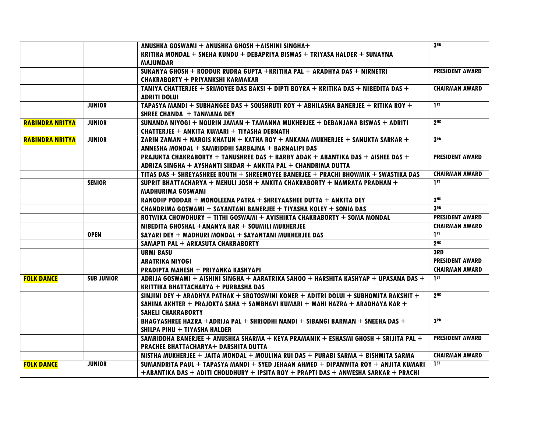|                        |                   | ANUSHKA GOSWAMI + ANUSHKA GHOSH + AISHINI SINGHA+                                    | 3RD                    |
|------------------------|-------------------|--------------------------------------------------------------------------------------|------------------------|
|                        |                   | KRITIKA MONDAL + SNEHA KUNDU + DEBAPRIYA BISWAS + TRIYASA HALDER + SUNAYNA           |                        |
|                        |                   | <b>MAJUMDAR</b>                                                                      |                        |
|                        |                   | SUKANYA GHOSH + RODDUR RUDRA GUPTA +KRITIKA PAL + ARADHYA DAS + NIRNETRI             | <b>PRESIDENT AWARD</b> |
|                        |                   | <b>CHAKRABORTY + PRIYANKSHI KARMAKAR</b>                                             |                        |
|                        |                   | TANIYA CHATTERJEE + SRIMOYEE DAS BAKSI + DIPTI BOYRA + KRITIKA DAS + NIBEDITA DAS +  | <b>CHAIRMAN AWARD</b>  |
|                        |                   | <b>ADRITI DOLUI</b>                                                                  |                        |
|                        | <b>JUNIOR</b>     | TAPASYA MANDI + SUBHANGEE DAS + SOUSHRUTI ROY + ABHILASHA BANERJEE + RITIKA ROY +    | 1 <sub>ST</sub>        |
|                        |                   | SHREE CHANDA $+$ TANMANA DEY                                                         |                        |
| <b>RABINDRA NRITYA</b> | <b>JUNIOR</b>     | SUNANDA NIYOGI + NOURIN JAMAN + TAMANNA MUKHERJEE + DEBANJANA BISWAS + ADRITI        | 2 <sub>ND</sub>        |
|                        |                   | CHATTERJEE + ANKITA KUMARI + TIYASHA DEBNATH                                         |                        |
| <b>RABINDRA NRITYA</b> | <b>JUNIOR</b>     | ZARIN ZAMAN + NARGIS KHATUN + KATHA ROY + ANKANA MUKHERJEE + SANUKTA SARKAR +        | 3 <sub>RD</sub>        |
|                        |                   | ANNESHA MONDAL + SAMRIDDHI SARBAJNA + BARNALIPI DAS                                  |                        |
|                        |                   | PRAJUKTA CHAKRABORTY + TANUSHREE DAS + BARBY ADAK + ABANTIKA DAS + AISHEE DAS +      | <b>PRESIDENT AWARD</b> |
|                        |                   | ADRIZA SINGHA + AYSHANTI SIKDAR + ANKITA PAL + CHANDRIMA DUTTA                       |                        |
|                        |                   | TITAS DAS + SHREYASHREE ROUTH + SHREEMOYEE BANERJEE + PRACHI BHOWMIK + SWASTIKA DAS  | <b>CHAIRMAN AWARD</b>  |
|                        | <b>SENIOR</b>     | SUPRIT BHATTACHARYA + MEHULI JOSH + ANKITA CHAKRABORTY + NAMRATA PRADHAN +           | 1 <sub>ST</sub>        |
|                        |                   | <b>MADHURIMA GOSWAMI</b>                                                             |                        |
|                        |                   | RANODIP PODDAR + MONOLEENA PATRA + SHREYAASHEE DUTTA + ANKITA DEY                    | 2 <sub>ND</sub>        |
|                        |                   | CHANDRIMA GOSWAMI + SAYANTANI BANERJEE + TIYASHA KOLEY + SONIA DAS                   | 3RD                    |
|                        |                   | ROTWIKA CHOWDHURY + TITHI GOSWAMI + AVISHIKTA CHAKRABORTY + SOMA MONDAL              | <b>PRESIDENT AWARD</b> |
|                        |                   | NIBEDITA GHOSHAL +ANANYA KAR + SOUMILI MUKHERJEE                                     | <b>CHAIRMAN AWARD</b>  |
|                        | <b>OPEN</b>       | SAYARI DEY + MADHURI MONDAL + SAYANTANI MUKHERJEE DAS                                | 1 <sup>ST</sup>        |
|                        |                   | SAMAPTI PAL + ARKASUTA CHAKRABORTY                                                   | 2 <sub>ND</sub>        |
|                        |                   | <b>URMI BASU</b>                                                                     | 3RD                    |
|                        |                   | <b>ARATRIKA NIYOGI</b>                                                               | <b>PRESIDENT AWARD</b> |
|                        |                   | PRADIPTA MAHESH + PRIYANKA KASHYAPI                                                  | <b>CHAIRMAN AWARD</b>  |
| <b>FOLK DANCE</b>      | <b>SUB JUNIOR</b> | ADRIJA GOSWAMI + AISHINI SINGHA + AARATRIKA SAHOO + HARSHITA KASHYAP + UPASANA DAS + | 1 <sub>ST</sub>        |
|                        |                   | KRITTIKA BHATTACHARYA + PURBASHA DAS                                                 |                        |
|                        |                   | SINJINI DEY + ARADHYA PATHAK + SROTOSWINI KONER + ADITRI DOLUI + SUBHOMITA RAKSHIT + | 2 <sub>ND</sub>        |
|                        |                   | SAHINA AKHTER + PRAJOKTA SAHA + SAMBHAVI KUMARI + MAHI HAZRA + ARADHAYA KAR +        |                        |
|                        |                   | <b>SAHELI CHAKRABORTY</b>                                                            |                        |
|                        |                   | BHAGYASHREE HAZRA +ADRIJA PAL + SHRIODHI NANDI + SIBANGI BARMAN + SNEEHA DAS +       | 3RD                    |
|                        |                   | SHILPA PIHU + TIYASHA HALDER                                                         |                        |
|                        |                   | SAMRIDDHA BANERJEE + ANUSHKA SHARMA + KEYA PRAMANIK + ESHASMI GHOSH + SRIJITA PAL +  | <b>PRESIDENT AWARD</b> |
|                        |                   | PRACHEE BHATTACHARYA+ DARSHITA DUTTA                                                 |                        |
|                        |                   | NISTHA MUKHERJEE + JAITA MONDAL + MOULINA RUI DAS + PURABI SARMA + BISHMITA SARMA    | <b>CHAIRMAN AWARD</b>  |
| <b>FOLK DANCE</b>      | <b>JUNIOR</b>     | SUMANDRITA PAUL + TAPASYA MANDI + SYED JEHAAN AHMED + DIPANWITA ROY + ANJITA KUMARI  | 1 <sub>st</sub>        |
|                        |                   | +ABANTIKA DAS + ADITI CHOUDHURY + IPSITA ROY + PRAPTI DAS + ANWESHA SARKAR + PRACHI  |                        |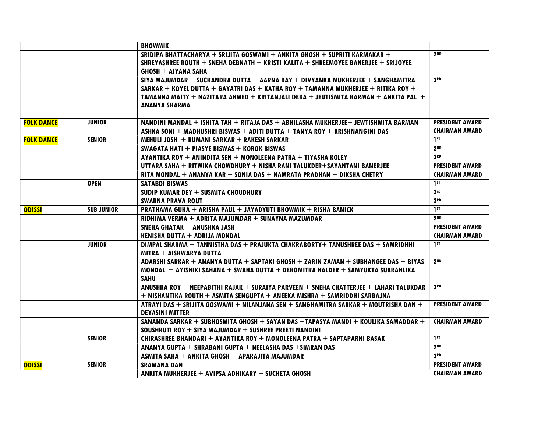|                   |                   | <b>BHOWMIK</b>                                                                        |                        |
|-------------------|-------------------|---------------------------------------------------------------------------------------|------------------------|
|                   |                   | SRIDIPA BHATTACHARYA + SRIJITA GOSWAMI + ANKITA GHOSH + SUPRITI KARMAKAR +            | 2 <sub>ND</sub>        |
|                   |                   | SHREYASHREE ROUTH + SNEHA DEBNATH + KRISTI KALITA + SHREEMOYEE BANERJEE + SRIJOYEE    |                        |
|                   |                   | <b>GHOSH + AIYANA SAHA</b>                                                            |                        |
|                   |                   | SIYA MAJUMDAR + SUCHANDRA DUTTA + AARNA RAY + DIVYANKA MUKHERJEE + SANGHAMITRA        | 3 <sub>RD</sub>        |
|                   |                   | SARKAR + KOYEL DUTTA + GAYATRI DAS + KATHA ROY + TAMANNA MUKHERJEE + RITIKA ROY +     |                        |
|                   |                   | TAMANNA MAITY + NAZITARA AHMED + KRITANJALI DEKA + JEUTISMITA BARMAN + ANKITA PAL +   |                        |
|                   |                   | <b>ANANYA SHARMA</b>                                                                  |                        |
|                   |                   |                                                                                       |                        |
| <b>FOLK DANCE</b> | <b>JUNIOR</b>     | NANDINI MANDAL + ISHITA TAH + RITAJA DAS + ABHILASHA MUKHERJEE+ JEWTISHMITA BARMAN    | <b>PRESIDENT AWARD</b> |
|                   |                   | ASHKA SONI + MADHUSHRI BISWAS + ADITI DUTTA + TANYA ROY + KRISHNANGINI DAS            | <b>CHAIRMAN AWARD</b>  |
| <b>FOLK DANCE</b> | <b>SENIOR</b>     | MEHULI JOSH $+$ RUMANI SARKAR $+$ RAKESH SARKAR                                       | 1 <sub>ST</sub>        |
|                   |                   | SWAGATA HATI + PIASYE BISWAS + KOROK BISWAS                                           | 2 <sub>ND</sub>        |
|                   |                   | AYANTIKA ROY + ANINDITA SEN + MONOLEENA PATRA + TIYASHA KOLEY                         | 3 <sub>RD</sub>        |
|                   |                   | UTTARA SAHA + RITWIKA CHOWDHURY + NISHA RANI TALUKDER+SAYANTANI BANERJEE              | <b>PRESIDENT AWARD</b> |
|                   |                   | RITA MONDAL + ANANYA KAR + SONIA DAS + NAMRATA PRADHAN + DIKSHA CHETRY                | <b>CHAIRMAN AWARD</b>  |
|                   | <b>OPEN</b>       | <b>SATABDI BISWAS</b>                                                                 | 1 <sub>st</sub>        |
|                   |                   | SUDIP KUMAR DEY + SUSMITA CHOUDHURY                                                   | 2 <sub>nd</sub>        |
|                   |                   | <b>SWARNA PRAVA ROUT</b>                                                              | 3 <sub>RD</sub>        |
| <b>ODISSI</b>     | <b>SUB JUNIOR</b> | PRATHAMA GUHA + ARISHA PAUL + JAYADYUTI BHOWMIK + RISHA BANICK                        | 1 <sub>st</sub>        |
|                   |                   | RIDHIMA VERMA + ADRITA MAJUMDAR + SUNAYNA MAZUMDAR                                    | 2 <sub>ND</sub>        |
|                   |                   | SNEHA GHATAK + ANUSHKA JASH                                                           | <b>PRESIDENT AWARD</b> |
|                   |                   | KENISHA DUTTA + ADRIJA MONDAL                                                         | <b>CHAIRMAN AWARD</b>  |
|                   | <b>JUNIOR</b>     | DIMPAL SHARMA + TANNISTHA DAS + PRAJUKTA CHAKRABORTY+ TANUSHREE DAS + SAMRIDHHI       | 1 ST                   |
|                   |                   | MITRA + AISHWARYA DUTTA                                                               |                        |
|                   |                   | ADARSHI SARKAR + ANANYA DUTTA + SAPTAKI GHOSH + ZARIN ZAMAN + SUBHANGEE DAS + BIYAS   | 2 <sub>ND</sub>        |
|                   |                   | MONDAL + AYISHIKI SAHANA + SWAHA DUTTA + DEBOMITRA HALDER + SAMYUKTA SUBRAHLIKA       |                        |
|                   |                   | <b>SAHU</b>                                                                           |                        |
|                   |                   | ANUSHKA ROY + NEEPABITHI RAJAK + SURAIYA PARVEEN + SNEHA CHATTERJEE + LAHARI TALUKDAR | 3 <sub>RD</sub>        |
|                   |                   | + NISHANTIKA ROUTH + ASMITA SENGUPTA + ANEEKA MISHRA + SAMRIDDHI SARBAJNA             |                        |
|                   |                   | ATRAYI DAS + SRIJITA GOSWAMI + NILANJANA SEN + SANGHAMITRA SARKAR + MOUTRISHA DAN +   | <b>PRESIDENT AWARD</b> |
|                   |                   | <b>DEYASINI MITTER</b>                                                                |                        |
|                   |                   | SANANDA SARKAR + SUBHOSMITA GHOSH + SAYAN DAS +TAPASYA MANDI + KOULIKA SAMADDAR +     | <b>CHAIRMAN AWARD</b>  |
|                   |                   | SOUSHRUTI ROY + SIYA MAJUMDAR + SUSHREE PREETI NANDINI                                |                        |
|                   | <b>SENIOR</b>     | CHIRASHREE BHANDARI + AYANTIKA ROY + MONOLEENA PATRA + SAPTAPARNI BASAK               | 1 <sub>ST</sub>        |
|                   |                   | ANANYA GUPTA + SHRABANI GUPTA + NEELASHA DAS + SIMRAN DAS                             | 2 <sup>ND</sup>        |
|                   |                   | ASMITA SAHA + ANKITA GHOSH + APARAJITA MAJUMDAR                                       | 3RD                    |
| <b>ODISSI</b>     | <b>SENIOR</b>     | <b>SRAMANA DAN</b>                                                                    | <b>PRESIDENT AWARD</b> |
|                   |                   | ANKITA MUKHERJEE + AVIPSA ADHIKARY + SUCHETA GHOSH                                    | <b>CHAIRMAN AWARD</b>  |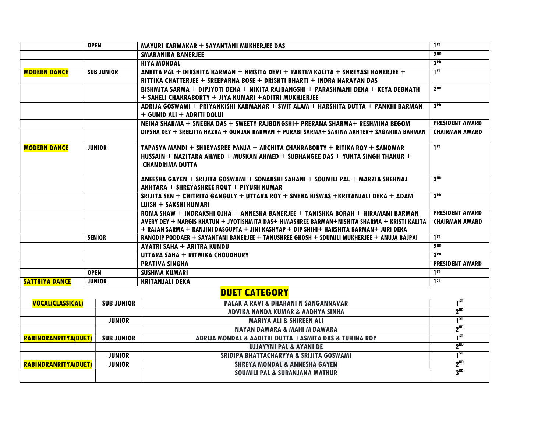|                             | <b>OPEN</b>       | MAYURI KARMAKAR + SAYANTANI MUKHERJEE DAS                                                    | 1 <sub>ST</sub>        |
|-----------------------------|-------------------|----------------------------------------------------------------------------------------------|------------------------|
|                             |                   | <b>SMARANIKA BANERJEE</b>                                                                    | 2 <sub>ND</sub>        |
|                             |                   | <b>RIYA MONDAL</b>                                                                           | 3 <sub>RD</sub>        |
| <b>MODERN DANCE</b>         | <b>SUB JUNIOR</b> | ANKITA PAL + DIKSHITA BARMAN + HRISITA DEVI + RAKTIM KALITA + SHREYASI BANERJEE +            | 1 <sub>ST</sub>        |
|                             |                   | RITTIKA CHATTERJEE + SREEPARNA BOSE + DRISHTI BHARTI + INDRA NARAYAN DAS                     |                        |
|                             |                   | BISHMITA SARMA + DIPJYOTI DEKA + NIKITA RAJBANGSHI + PARASHMANI DEKA + KEYA DEBNATH          | 2 <sub>ND</sub>        |
|                             |                   | + SAHELI CHAKRABORTY + JIYA KUMARI +ADITRI MUKHJERJEE                                        |                        |
|                             |                   | ADRIJA GOSWAMI + PRIYANKISHI KARMAKAR + SWIT ALAM + HARSHITA DUTTA + PANKHI BARMAN           | 3RD                    |
|                             |                   | + GUNID ALI + ADRITI DOLUI                                                                   |                        |
|                             |                   | NEINA SHARMA + SNEEHA DAS + SWEETY RAJBONGSHI+ PRERANA SHARMA+ RESHMINA BEGOM                | <b>PRESIDENT AWARD</b> |
|                             |                   | DIPSHA DEY + SREEJITA HAZRA + GUNJAN BARMAN + PURABI SARMA+ SAHINA AKHTER+ SAGARIKA BARMAN   | <b>CHAIRMAN AWARD</b>  |
|                             |                   |                                                                                              |                        |
| <b>MODERN DANCE</b>         | <b>JUNIOR</b>     | TAPASYA MANDI + SHREYASREE PANJA + ARCHITA CHAKRABORTY + RITIKA ROY + SANOWAR                | 1 <sub>ST</sub>        |
|                             |                   | HUSSAIN + NAZITARA AHMED + MUSKAN AHMED + SUBHANGEE DAS + YUKTA SINGH THAKUR +               |                        |
|                             |                   | <b>CHANDRIMA DUTTA</b>                                                                       |                        |
|                             |                   | ANEESHA GAYEN + SRIJITA GOSWAMI + SONAKSHI SAHANI + SOUMILI PAL + MARZIA SHEHNAJ             | 2 <sub>ND</sub>        |
|                             |                   | AKHTARA + SHREYASHREE ROUT + PIYUSH KUMAR                                                    |                        |
|                             |                   | SRIJITA SEN + CHITRITA GANGULY + UTTARA ROY + SNEHA BISWAS +KRITANJALI DEKA + ADAM           | 3 <sub>RD</sub>        |
|                             |                   | LUISH + SAKSHI KUMARI                                                                        |                        |
|                             |                   | ROMA SHAW + INDRAKSHI OJHA + ANNESHA BANERJEE + TANISHKA BORAH + HIRAMANI BARMAN             | <b>PRESIDENT AWARD</b> |
|                             |                   | AVERY DEY + NARGIS KHATUN + JYOTISHMITA DAS+ HIMASHREE BARMAN+NISHITA SHARMA + KRISTI KALITA | <b>CHAIRMAN AWARD</b>  |
|                             |                   | + RAJAN SARMA + RANJINI DASGUPTA + JINI KASHYAP + DIP SHIHI+ HARSHITA BARMAN+ JURI DEKA      |                        |
|                             | <b>SENIOR</b>     | RANODIP PODDAER + SAYANTANI BANERJEE + TANUSHREE GHOSH + SOUMILI MUKHERJEE + ANUJA BAJPAI    | 1 <sub>ST</sub>        |
|                             |                   | <b>AYATRI SAHA + ARITRA KUNDU</b>                                                            | 2 <sub>ND</sub>        |
|                             |                   | UTTARA SAHA + RITWIKA CHOUDHURY                                                              | 3 <sub>RD</sub>        |
|                             |                   | <b>PRATIVA SINGHA</b>                                                                        | <b>PRESIDENT AWARD</b> |
|                             | <b>OPEN</b>       | <b>SUSHMA KUMARI</b>                                                                         | 1 <sup>ST</sup>        |
| <b>SATTRIYA DANCE</b>       | <b>JUNIOR</b>     | <b>KRITANJALI DEKA</b>                                                                       | 1 <sub>ST</sub>        |
|                             |                   | <b>DUET CATEGORY</b>                                                                         |                        |
| <b>VOCAL(CLASSICAL)</b>     | <b>SUB JUNIOR</b> | PALAK A RAVI & DHARANI N SANGANNAVAR                                                         | $1^{5}$                |
|                             |                   | ADVIKA NANDA KUMAR & AADHYA SINHA                                                            | 2 <sup>ND</sup>        |
|                             | <b>JUNIOR</b>     | <b>MARIYA ALI &amp; SHIREEN ALI</b>                                                          | $1^{57}$               |
|                             |                   | <b>NAYAN DAWARA &amp; MAHI M DAWARA</b>                                                      | 2 <sup>ND</sup>        |
| <b>RABINDRANRITYA(DUET)</b> | <b>SUB JUNIOR</b> | ADRIJA MONDAL & AADITRI DUTTA + ASMITA DAS & TUHINA ROY                                      | $1^{ST}$               |
|                             |                   | <b>UJJAYYNI PAL &amp; AYANI DE</b>                                                           | 2 <sup>ND</sup>        |
|                             | <b>JUNIOR</b>     | SRIDIPA BHATTACHARYYA & SRIJITA GOSWAMI                                                      | $1^{5T}$               |
| <b>RABINDRANRITYA(DUET)</b> | <b>JUNIOR</b>     | <b>SHREYA MONDAL &amp; ANNESHA GAYEN</b>                                                     | 2 <sup>ND</sup>        |
|                             |                   | <b>SOUMILI PAL &amp; SURANJANA MATHUR</b>                                                    | 3 <sup>RD</sup>        |
|                             |                   |                                                                                              |                        |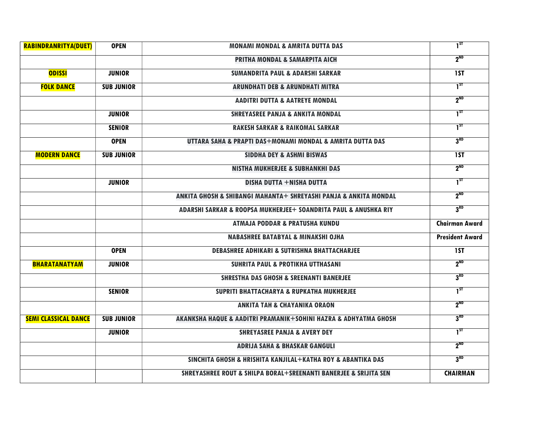| <b>RABINDRANRITYA(DUET)</b> | <b>OPEN</b>       | <b>MONAMI MONDAL &amp; AMRITA DUTTA DAS</b>                                     | $1^{5}$                |
|-----------------------------|-------------------|---------------------------------------------------------------------------------|------------------------|
|                             |                   | <b>PRITHA MONDAL &amp; SAMARPITA AICH</b>                                       | 2 <sup>ND</sup>        |
| <b>ODISSI</b>               | <b>JUNIOR</b>     | <b>SUMANDRITA PAUL &amp; ADARSHI SARKAR</b>                                     | 1ST                    |
| <b>FOLK DANCE</b>           | <b>SUB JUNIOR</b> | <b>ARUNDHATI DEB &amp; ARUNDHATI MITRA</b>                                      | $1^{ST}$               |
|                             |                   | <b>AADITRI DUTTA &amp; AATREYE MONDAL</b>                                       | $2^{ND}$               |
|                             | <b>JUNIOR</b>     | <b>SHREYASREE PANJA &amp; ANKITA MONDAL</b>                                     | $1^{5T}$               |
|                             | <b>SENIOR</b>     | <b>RAKESH SARKAR &amp; RAIKOMAL SARKAR</b>                                      | $1^{ST}$               |
|                             | <b>OPEN</b>       | UTTARA SAHA & PRAPTI DAS+MONAMI MONDAL & AMRITA DUTTA DAS                       | 3 <sup>RD</sup>        |
| <b>MODERN DANCE</b>         | <b>SUB JUNIOR</b> | <b>SIDDHA DEY &amp; ASHMI BISWAS</b>                                            | 1ST                    |
|                             |                   | <b>NISTHA MUKHERJEE &amp; SUBHANKHI DAS</b>                                     | 2 <sup>ND</sup>        |
|                             | <b>JUNIOR</b>     | <b>DISHA DUTTA +NISHA DUTTA</b>                                                 | $1^{ST}$               |
|                             |                   | ANKITA GHOSH & SHIBANGI MAHANTA+ SHREYASHI PANJA & ANKITA MONDAL                | $2^{ND}$               |
|                             |                   | ADARSHI SARKAR & ROOPSA MUKHERJEE+ SOANDRITA PAUL & ANUSHKA RIY                 | 3 <sup>RD</sup>        |
|                             |                   | <b>ATMAJA PODDAR &amp; PRATUSHA KUNDU</b>                                       | <b>Chairman Award</b>  |
|                             |                   | <b>NABASHREE BATABYAL &amp; MINAKSHI OJHA</b>                                   | <b>President Award</b> |
|                             | <b>OPEN</b>       | <b>DEBASHREE ADHIKARI &amp; SUTRISHNA BHATTACHARJEE</b>                         | <b>IST</b>             |
| <b>BHARATANATYAM</b>        | <b>JUNIOR</b>     | <b>SUHRITA PAUL &amp; PROTIKHA UTTHASANI</b>                                    | $2^{ND}$               |
|                             |                   | <b>SHRESTHA DAS GHOSH &amp; SREENANTI BANERJEE</b>                              | 3 <sup>RD</sup>        |
|                             | <b>SENIOR</b>     | SUPRITI BHATTACHARYA & RUPKATHA MUKHERJEE                                       | $1^{5}$                |
|                             |                   | <b>ANKITA TAH &amp; CHAYANIKA ORAON</b>                                         | $2^{ND}$               |
| <b>SEMI CLASSICAL DANCE</b> | <b>SUB JUNIOR</b> | AKANKSHA HAQUE & AADITRI PRAMANIK+SOHINI HAZRA & ADHYATMA GHOSH                 | 3 <sup>RD</sup>        |
|                             | <b>JUNIOR</b>     | <b>SHREYASREE PANJA &amp; AVERY DEY</b>                                         | $1^{5T}$               |
|                             |                   | <b>ADRIJA SAHA &amp; BHASKAR GANGULI</b>                                        | $2^{ND}$               |
|                             |                   | SINCHITA GHOSH & HRISHITA KANJILAL+KATHA ROY & ABANTIKA DAS                     | 3 <sup>RD</sup>        |
|                             |                   | <b>SHREYASHREE ROUT &amp; SHILPA BORAL+SREENANTI BANERJEE &amp; SRIJITA SEN</b> | <b>CHAIRMAN</b>        |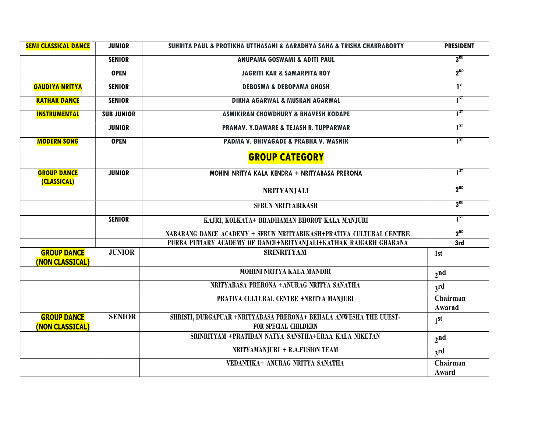| <b>SEMI CLASSICAL DANCE</b>           | <b>JUNIOR</b>     | SUHRITA PAUL & PROTIKHA UTTHASANI & AARADHYA SAHA & TRISHA CHAKRABORTY                           | <b>PRESIDENT</b>   |
|---------------------------------------|-------------------|--------------------------------------------------------------------------------------------------|--------------------|
|                                       | <b>SENIOR</b>     | <b>ANUPAMA GOSWAMI &amp; ADITI PAUL</b>                                                          | 3 <sup>RD</sup>    |
|                                       | <b>OPEN</b>       | <b>JAGRITI KAR &amp; SAMARPITA ROY</b>                                                           | $2^{ND}$           |
| <b>GAUDIYA NRITYA</b>                 | <b>SENIOR</b>     | <b>DEBOSMA &amp; DEBOPAMA GHOSH</b>                                                              | 1 <sup>st</sup>    |
| <b>KATHAK DANCE</b>                   | <b>SENIOR</b>     | <b>DIKHA AGARWAL &amp; MUSKAN AGARWAL</b>                                                        | $1^{5T}$           |
| <b>INSTRUMENTAL</b>                   | <b>SUB JUNIOR</b> | <b>ASMIKIRAN CHOWDHURY &amp; BHAVESH KODAPE</b>                                                  | $1^{5T}$           |
|                                       | <b>JUNIOR</b>     | <b>PRANAV. Y.DAWARE &amp; TEJASH R. TUPPARWAR</b>                                                | $1^{ST}$           |
| <b>MODERN SONG</b>                    | <b>OPEN</b>       | PADMA V. BHIVAGADE & PRABHA V. WASNIK                                                            | $1^{5T}$           |
|                                       |                   | <b>GROUP CATEGORY</b>                                                                            |                    |
| <b>GROUP DANCE</b><br>(CLASSICAL)     | <b>JUNIOR</b>     | MOHINI NRITYA KALA KENDRA + NRITYABASA PRERONA                                                   | $1^{ST}$           |
|                                       |                   | <b>NRITYANJALI</b>                                                                               | $2^{ND}$           |
|                                       |                   | <b>SFRUN NRITYABIKASH</b>                                                                        | 3 <sup>RD</sup>    |
|                                       | <b>SENIOR</b>     | KAJRI, KOLKATA+ BRADHAMAN BHOROT KALA MANJURI                                                    | $1^{ST}$           |
|                                       |                   | NABARANG DANCE ACADEMY + SFRUN NRITYABIKASH+PRATIVA CULTURAL CENTRE                              | $2^{ND}$           |
|                                       |                   | PURBA PUTIARY ACADEMY OF DANCE+NRITYANJALI+KATHAK RAIGARH GHARANA                                | 3rd                |
| <b>GROUP DANCE</b><br>(NON CLASSICAL) | <b>JUNIOR</b>     | <b>SRINRITYAM</b>                                                                                | 1st                |
|                                       |                   | MOHINI NRITYA KALA MANDIR                                                                        | 2 <sub>nd</sub>    |
|                                       |                   | NRITYABASA PRERONA +ANURAG NRITYA SANATHA                                                        | 3rd                |
|                                       |                   | PRATIVA CULTURAL CENTRE +NRITYA MANJURI                                                          | Chairman<br>Awarad |
| <b>GROUP DANCE</b><br>(NON CLASSICAL) | <b>SENIOR</b>     | SHRISTI, DURGAPUAR +NRITYABASA PRERONA+ BEHALA ANWESHA THE UUEST-<br><b>FOR SPECIAL CHILDERN</b> | 1 <sup>st</sup>    |
|                                       |                   | SRINRITYAM +PRATIDAN NATYA SANSTHA+ERAA KALA NIKETAN                                             | 2 <sub>nd</sub>    |
|                                       |                   | NRITYAMANJURI + R.A.FUSION TEAM                                                                  | 3 <sup>rd</sup>    |
|                                       |                   | VEDANTIKA+ ANURAG NRITYA SANATHA                                                                 | Chairman<br>Award  |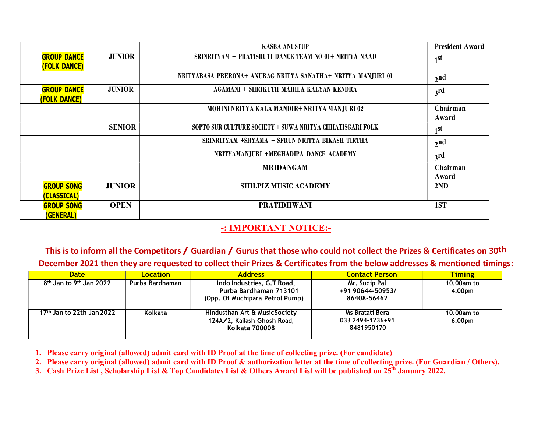|                                              |               | <b>KASBA ANUSTUP</b>                                         | <b>President Award</b> |
|----------------------------------------------|---------------|--------------------------------------------------------------|------------------------|
| <b>GROUP DANCE</b><br><b>(FOLK DANCE)</b>    | <b>JUNIOR</b> | SRINRITYAM + PRATISRUTI DANCE TEAM NO 01+ NRITYA NAAD        | 1 <sub>st</sub>        |
|                                              |               | NRITYABASA PRERONA+ ANURAG NRITYA SANATHA+ NRITYA MANJURI 01 | 2 <sub>nd</sub>        |
| <b>GROUP DANCE</b><br>(FOLK DANCE)           | <b>JUNIOR</b> | AGAMANI + SHRIKUTH MAHILA KALYAN KENDRA                      | 3 <sup>rd</sup>        |
|                                              |               | MOHINI NRITYA KALA MANDIR+ NRITYA MANJURI 02                 | Chairman<br>Award      |
|                                              | <b>SENIOR</b> | SOPTO SUR CULTURE SOCIETY + SUWA NRITYA CHHATISGARI FOLK     | 1 <sub>1</sub>         |
|                                              |               | SRINRITYAM +SHYAMA + SFRUN NRITYA BIKASH TIRTHA              | 2 <sub>nd</sub>        |
|                                              |               | NRITYAMANJURI +MEGHADIPA DANCE ACADEMY                       | 3 <sup>rd</sup>        |
|                                              |               | <b>MRIDANGAM</b>                                             | Chairman<br>Award      |
| <b>GROUP SONG</b><br>(CLASSICAL)             | <b>JUNIOR</b> | <b>SHILPIZ MUSIC ACADEMY</b>                                 | 2ND                    |
| <b>GROUP SONG</b><br><i><b>(GENERAL)</b></i> | <b>OPEN</b>   | <b>PRATIDHWANI</b>                                           | 1ST                    |

## -: IMPORTANT NOTICE:-

This is to inform all the Competitors / Guardian / Gurus that those who could not collect the Prizes & Certificates on 30<sup>th</sup> December 2021 then they are requested to collect their Prizes & Certificates from the below addresses & mentioned timings:

| <b>Date</b>                                     | Location        | <b>Address</b>                                                                                                    | <b>Contact Person</b>                                            | <b>Timing</b>        |
|-------------------------------------------------|-----------------|-------------------------------------------------------------------------------------------------------------------|------------------------------------------------------------------|----------------------|
| 8 <sup>th</sup> Jan to 9 <sup>th</sup> Jan 2022 | Purba Bardhaman | Indo Industries, G.T Road,<br>Purba Bardhaman 713101                                                              | Mr. Sudip Pal<br>+91 90644-50953/                                | 10.00am to<br>4.00pm |
| 17th Jan to 22th Jan 2022                       | Kolkata         | (Opp. Of Muchipara Petrol Pump)<br>Hindusthan Art & MusicSociety<br>124A/2, Kailash Ghosh Road,<br>Kolkata 700008 | 86408-56462<br>Ms Bratati Bera<br>033 2494-1236+91<br>8481950170 | 10.00am to<br>6.00pm |

1. Please carry original (allowed) admit card with ID Proof at the time of collecting prize. (For candidate)

2. Please carry original (allowed) admit card with ID Proof & authorization letter at the time of collecting prize. (For Guardian / Others).

3. Cash Prize List, Scholarship List & Top Candidates List & Others Award List will be published on  $25<sup>th</sup>$  January 2022.